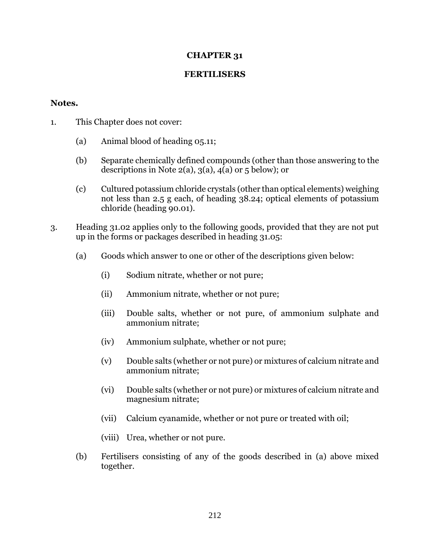## **CHAPTER 31**

## **FERTILISERS**

## **Notes.**

- 1. This Chapter does not cover:
	- (a) Animal blood of heading 05.11;
	- (b) Separate chemically defined compounds (other than those answering to the descriptions in Note  $2(a)$ ,  $3(a)$ ,  $4(a)$  or 5 below); or
	- (c) Cultured potassium chloride crystals (other than optical elements) weighing not less than 2.5 g each, of heading 38.24; optical elements of potassium chloride (heading 90.01).
- 3. Heading 31.02 applies only to the following goods, provided that they are not put up in the forms or packages described in heading 31.05:
	- (a) Goods which answer to one or other of the descriptions given below:
		- (i) Sodium nitrate, whether or not pure;
		- (ii) Ammonium nitrate, whether or not pure;
		- (iii) Double salts, whether or not pure, of ammonium sulphate and ammonium nitrate;
		- (iv) Ammonium sulphate, whether or not pure;
		- (v) Double salts (whether or not pure) or mixtures of calcium nitrate and ammonium nitrate;
		- (vi) Double salts (whether or not pure) or mixtures of calcium nitrate and magnesium nitrate;
		- (vii) Calcium cyanamide, whether or not pure or treated with oil;
		- (viii) Urea, whether or not pure.
	- (b) Fertilisers consisting of any of the goods described in (a) above mixed together.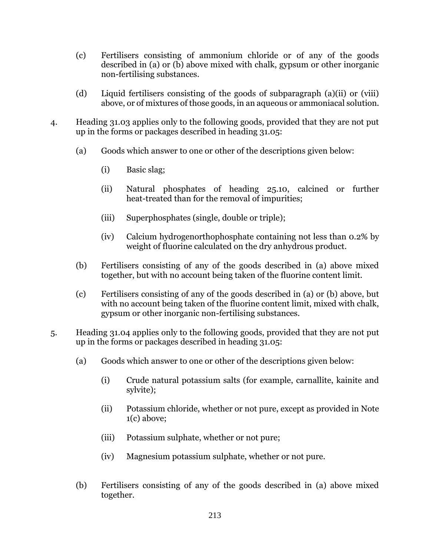- (c) Fertilisers consisting of ammonium chloride or of any of the goods described in (a) or (b) above mixed with chalk, gypsum or other inorganic non-fertilising substances.
- (d) Liquid fertilisers consisting of the goods of subparagraph (a)(ii) or (viii) above, or of mixtures of those goods, in an aqueous or ammoniacal solution.
- 4. Heading 31.03 applies only to the following goods, provided that they are not put up in the forms or packages described in heading 31.05:
	- (a) Goods which answer to one or other of the descriptions given below:
		- (i) Basic slag;
		- (ii) Natural phosphates of heading 25.10, calcined or further heat-treated than for the removal of impurities;
		- (iii) Superphosphates (single, double or triple);
		- (iv) Calcium hydrogenorthophosphate containing not less than 0.2% by weight of fluorine calculated on the dry anhydrous product.
	- (b) Fertilisers consisting of any of the goods described in (a) above mixed together, but with no account being taken of the fluorine content limit.
	- (c) Fertilisers consisting of any of the goods described in (a) or (b) above, but with no account being taken of the fluorine content limit, mixed with chalk, gypsum or other inorganic non-fertilising substances.
- 5. Heading 31.04 applies only to the following goods, provided that they are not put up in the forms or packages described in heading 31.05:
	- (a) Goods which answer to one or other of the descriptions given below:
		- (i) Crude natural potassium salts (for example, carnallite, kainite and sylvite);
		- (ii) Potassium chloride, whether or not pure, except as provided in Note 1(c) above;
		- (iii) Potassium sulphate, whether or not pure;
		- (iv) Magnesium potassium sulphate, whether or not pure.
	- (b) Fertilisers consisting of any of the goods described in (a) above mixed together.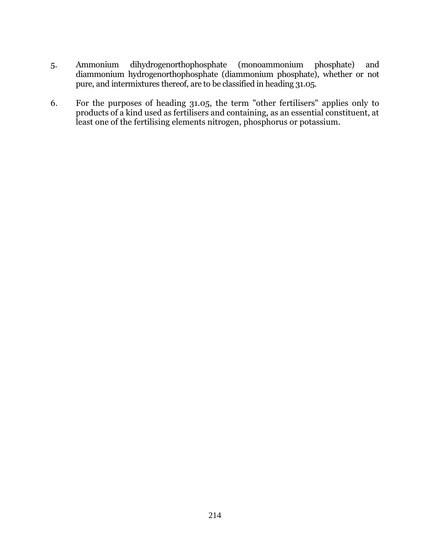- 5. Ammonium dihydrogenorthophosphate (monoammonium phosphate) and diammonium hydrogenorthophosphate (diammonium phosphate), whether or not pure, and intermixtures thereof, are to be classified in heading 31.05.
- 6. For the purposes of heading 31.05, the term "other fertilisers" applies only to products of a kind used as fertilisers and containing, as an essential constituent, at least one of the fertilising elements nitrogen, phosphorus or potassium.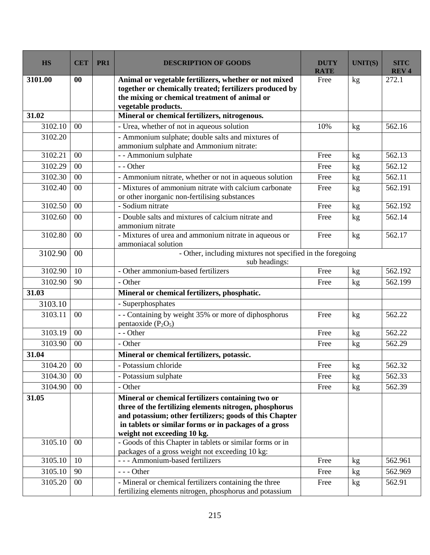| <b>HS</b>  | <b>CET</b> | PR1 | <b>DESCRIPTION OF GOODS</b>                                                                                                                                                                                                                                    | <b>DUTY</b><br><b>RATE</b> | <b>UNIT(S)</b>  | <b>SITC</b><br><b>REV4</b> |  |  |  |
|------------|------------|-----|----------------------------------------------------------------------------------------------------------------------------------------------------------------------------------------------------------------------------------------------------------------|----------------------------|-----------------|----------------------------|--|--|--|
| 3101.00    | 00         |     | Animal or vegetable fertilizers, whether or not mixed<br>together or chemically treated; fertilizers produced by<br>the mixing or chemical treatment of animal or<br>vegetable products.                                                                       | Free                       | kg              | 272.1                      |  |  |  |
| 31.02      |            |     | Mineral or chemical fertilizers, nitrogenous.                                                                                                                                                                                                                  |                            |                 |                            |  |  |  |
| 3102.10    | 00         |     | - Urea, whether of not in aqueous solution                                                                                                                                                                                                                     | 10%                        | kg              | 562.16                     |  |  |  |
| 3102.20    |            |     | - Ammonium sulphate; double salts and mixtures of<br>ammonium sulphate and Ammonium nitrate:                                                                                                                                                                   |                            |                 |                            |  |  |  |
| 3102.21    | 00         |     | - - Ammonium sulphate                                                                                                                                                                                                                                          | Free                       | kg              | 562.13                     |  |  |  |
| 3102.29    | 00         |     | - - Other                                                                                                                                                                                                                                                      | Free                       | kg              | 562.12                     |  |  |  |
| 3102.30    | 00         |     | - Ammonium nitrate, whether or not in aqueous solution                                                                                                                                                                                                         | Free                       | kg              | 562.11                     |  |  |  |
| 3102.40    | 00         |     | - Mixtures of ammonium nitrate with calcium carbonate<br>or other inorganic non-fertilising substances                                                                                                                                                         | Free                       | kg              | 562.191                    |  |  |  |
| 3102.50    | 00         |     | - Sodium nitrate                                                                                                                                                                                                                                               | Free                       | kg              | 562.192                    |  |  |  |
| 3102.60    | 00         |     | - Double salts and mixtures of calcium nitrate and<br>ammonium nitrate                                                                                                                                                                                         | Free                       | kg              | 562.14                     |  |  |  |
| 3102.80    | 00         |     | - Mixtures of urea and ammonium nitrate in aqueous or<br>ammoniacal solution                                                                                                                                                                                   | Free                       | kg              | 562.17                     |  |  |  |
| 3102.90    | 00         |     | - Other, including mixtures not specified in the foregoing<br>sub headings:                                                                                                                                                                                    |                            |                 |                            |  |  |  |
| 3102.90    | 10         |     | - Other ammonium-based fertilizers                                                                                                                                                                                                                             | Free                       | kg              | 562.192                    |  |  |  |
| 3102.90    | 90         |     | - Other                                                                                                                                                                                                                                                        | Free                       | kg              | 562.199                    |  |  |  |
| 31.03      |            |     | Mineral or chemical fertilizers, phosphatic.                                                                                                                                                                                                                   |                            |                 |                            |  |  |  |
| 3103.10    |            |     | - Superphosphates                                                                                                                                                                                                                                              |                            |                 |                            |  |  |  |
| 3103.11    | 00         |     | -- Containing by weight 35% or more of diphosphorus<br>pentaoxide $(P_2O_5)$                                                                                                                                                                                   | Free                       | kg              | 562.22                     |  |  |  |
| 3103.19    | 00         |     | - - Other                                                                                                                                                                                                                                                      | Free                       | kg              | 562.22                     |  |  |  |
| 3103.90    | $00\,$     |     | - Other                                                                                                                                                                                                                                                        | Free                       | kg              | 562.29                     |  |  |  |
| 31.04      |            |     | Mineral or chemical fertilizers, potassic.                                                                                                                                                                                                                     |                            |                 |                            |  |  |  |
| 3104.20 00 |            |     | - Potassium chloride                                                                                                                                                                                                                                           | Free                       | kg              | 562.32                     |  |  |  |
| 3104.30    | $00\,$     |     | - Potassium sulphate                                                                                                                                                                                                                                           | Free                       | kg              | 562.33                     |  |  |  |
| 3104.90    | $00\,$     |     | - Other                                                                                                                                                                                                                                                        | Free                       | kg <sub>2</sub> | 562.39                     |  |  |  |
| 31.05      |            |     | Mineral or chemical fertilizers containing two or<br>three of the fertilizing elements nitrogen, phosphorus<br>and potassium; other fertilizers; goods of this Chapter<br>in tablets or similar forms or in packages of a gross<br>weight not exceeding 10 kg. |                            |                 |                            |  |  |  |
| 3105.10    | 00         |     | - Goods of this Chapter in tablets or similar forms or in                                                                                                                                                                                                      |                            |                 |                            |  |  |  |
|            |            |     | packages of a gross weight not exceeding 10 kg:                                                                                                                                                                                                                |                            |                 |                            |  |  |  |
| 3105.10    | 10         |     | --- Ammonium-based fertilizers                                                                                                                                                                                                                                 | Free                       | kg              | 562.961                    |  |  |  |
| 3105.10    | 90         |     | $--$ Other                                                                                                                                                                                                                                                     | Free                       | kg              | 562.969                    |  |  |  |
| 3105.20    | $00\,$     |     | - Mineral or chemical fertilizers containing the three<br>fertilizing elements nitrogen, phosphorus and potassium                                                                                                                                              | Free                       | kg              | 562.91                     |  |  |  |